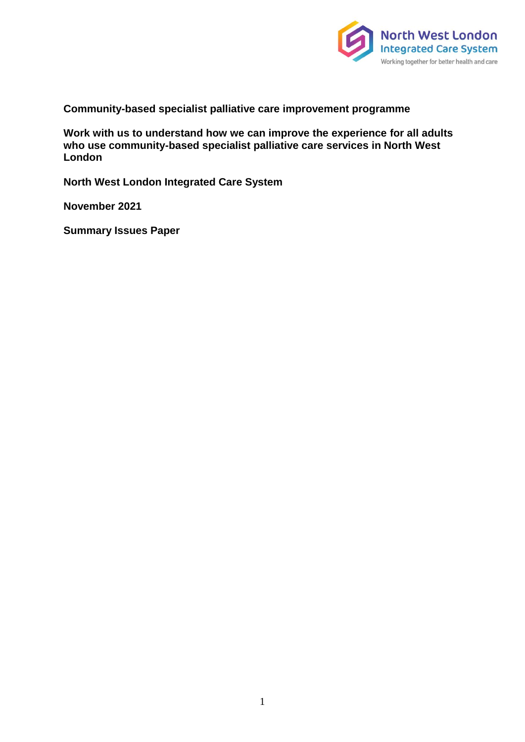

**Community-based specialist palliative care improvement programme**

**Work with us to understand how we can improve the experience for all adults who use community-based specialist palliative care services in North West London**

**North West London Integrated Care System**

**November 2021**

**Summary Issues Paper**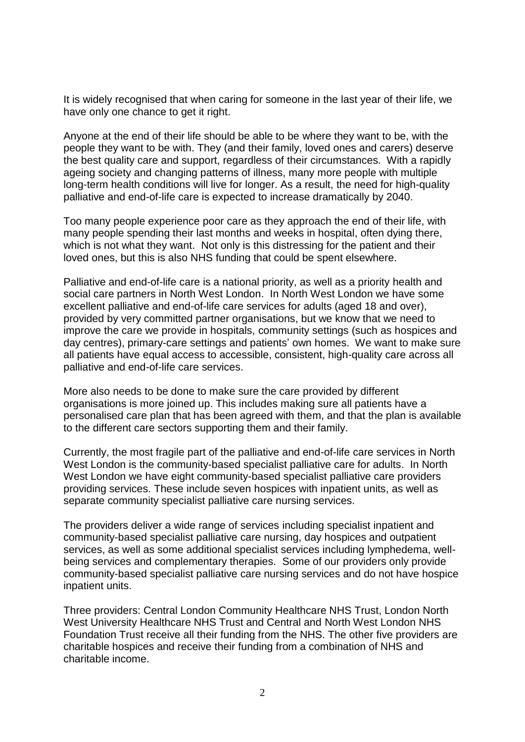It is widely recognised that when caring for someone in the last year of their life, we have only one chance to get it right.

Anyone at the end of their life should be able to be where they want to be, with the people they want to be with. They (and their family, loved ones and carers) deserve the best quality care and support, regardless of their circumstances. With a rapidly ageing society and changing patterns of illness, many more people with multiple long-term health conditions will live for longer. As a result, the need for high-quality palliative and end-of-life care is expected to increase dramatically by 2040.

Too many people experience poor care as they approach the end of their life, with many people spending their last months and weeks in hospital, often dying there, which is not what they want. Not only is this distressing for the patient and their loved ones, but this is also NHS funding that could be spent elsewhere.

Palliative and end-of-life care is a national priority, as well as a priority health and social care partners in North West London. In North West London we have some excellent palliative and end-of-life care services for adults (aged 18 and over), provided by very committed partner organisations, but we know that we need to improve the care we provide in hospitals, community settings (such as hospices and day centres), primary-care settings and patients' own homes. We want to make sure all patients have equal access to accessible, consistent, high-quality care across all palliative and end-of-life care services.

More also needs to be done to make sure the care provided by different organisations is more joined up. This includes making sure all patients have a personalised care plan that has been agreed with them, and that the plan is available to the different care sectors supporting them and their family.

Currently, the most fragile part of the palliative and end-of-life care services in North West London is the community-based specialist palliative care for adults. In North West London we have eight community-based specialist palliative care providers providing services. These include seven hospices with inpatient units, as well as separate community specialist palliative care nursing services.

The providers deliver a wide range of services including specialist inpatient and community-based specialist palliative care nursing, day hospices and outpatient services, as well as some additional specialist services including lymphedema, wellbeing services and complementary therapies. Some of our providers only provide community-based specialist palliative care nursing services and do not have hospice inpatient units.

Three providers: Central London Community Healthcare NHS Trust, London North West University Healthcare NHS Trust and Central and North West London NHS Foundation Trust receive all their funding from the NHS. The other five providers are charitable hospices and receive their funding from a combination of NHS and charitable income.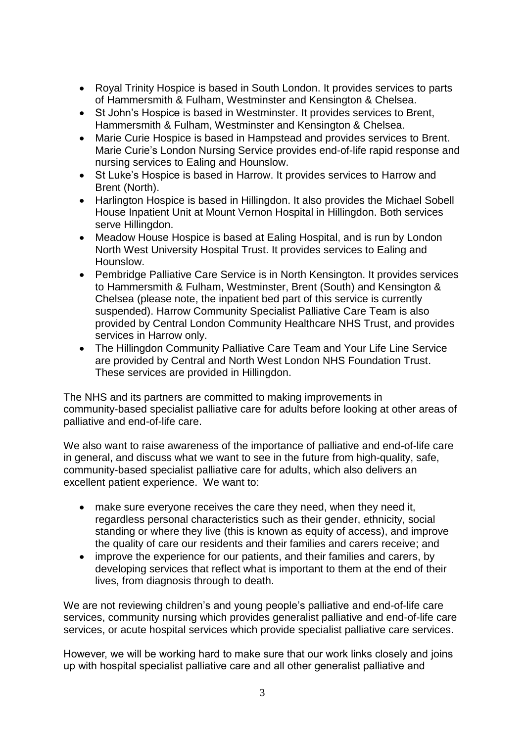- Royal Trinity Hospice is based in South London. It provides services to parts of Hammersmith & Fulham, Westminster and Kensington & Chelsea.
- St John's Hospice is based in Westminster. It provides services to Brent, Hammersmith & Fulham, Westminster and Kensington & Chelsea.
- Marie Curie Hospice is based in Hampstead and provides services to Brent. Marie Curie's London Nursing Service provides end-of-life rapid response and nursing services to Ealing and Hounslow.
- St Luke's Hospice is based in Harrow. It provides services to Harrow and Brent (North).
- Harlington Hospice is based in Hillingdon. It also provides the Michael Sobell House Inpatient Unit at Mount Vernon Hospital in Hillingdon. Both services serve Hillingdon.
- Meadow House Hospice is based at Ealing Hospital, and is run by London North West University Hospital Trust. It provides services to Ealing and Hounslow.
- Pembridge Palliative Care Service is in North Kensington. It provides services to Hammersmith & Fulham, Westminster, Brent (South) and Kensington & Chelsea (please note, the inpatient bed part of this service is currently suspended). Harrow Community Specialist Palliative Care Team is also provided by Central London Community Healthcare NHS Trust, and provides services in Harrow only.
- The Hillingdon Community Palliative Care Team and Your Life Line Service are provided by Central and North West London NHS Foundation Trust. These services are provided in Hillingdon.

The NHS and its partners are committed to making improvements in community-based specialist palliative care for adults before looking at other areas of palliative and end-of-life care.

We also want to raise awareness of the importance of palliative and end-of-life care in general, and discuss what we want to see in the future from high-quality, safe, community-based specialist palliative care for adults, which also delivers an excellent patient experience. We want to:

- make sure everyone receives the care they need, when they need it, regardless personal characteristics such as their gender, ethnicity, social standing or where they live (this is known as equity of access), and improve the quality of care our residents and their families and carers receive; and
- improve the experience for our patients, and their families and carers, by developing services that reflect what is important to them at the end of their lives, from diagnosis through to death.

We are not reviewing children's and young people's palliative and end-of-life care services, community nursing which provides generalist palliative and end-of-life care services, or acute hospital services which provide specialist palliative care services.

However, we will be working hard to make sure that our work links closely and joins up with hospital specialist palliative care and all other generalist palliative and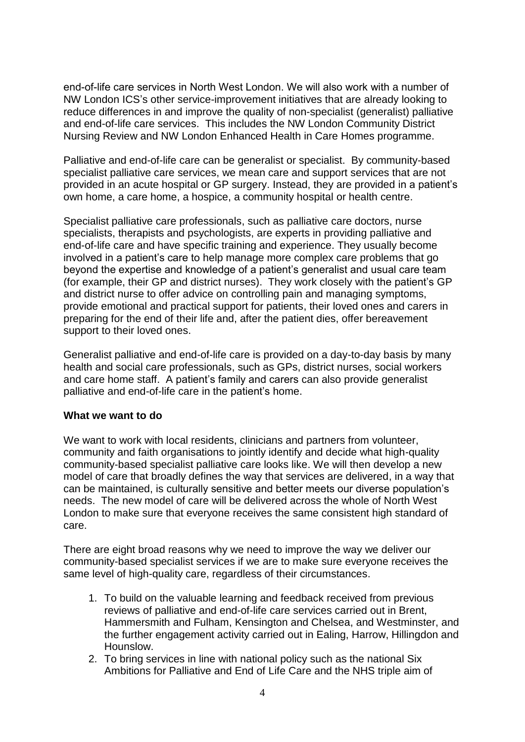end-of-life care services in North West London. We will also work with a number of NW London ICS's other service-improvement initiatives that are already looking to reduce differences in and improve the quality of non-specialist (generalist) palliative and end-of-life care services. This includes the NW London Community District Nursing Review and NW London Enhanced Health in Care Homes programme.

Palliative and end-of-life care can be generalist or specialist. By community-based specialist palliative care services, we mean care and support services that are not provided in an acute hospital or GP surgery. Instead, they are provided in a patient's own home, a care home, a hospice, a community hospital or health centre.

Specialist palliative care professionals, such as palliative care doctors, nurse specialists, therapists and psychologists, are experts in providing palliative and end-of-life care and have specific training and experience. They usually become involved in a patient's care to help manage more complex care problems that go beyond the expertise and knowledge of a patient's generalist and usual care team (for example, their GP and district nurses). They work closely with the patient's GP and district nurse to offer advice on controlling pain and managing symptoms, provide emotional and practical support for patients, their loved ones and carers in preparing for the end of their life and, after the patient dies, offer bereavement support to their loved ones.

Generalist palliative and end-of-life care is provided on a day-to-day basis by many health and social care professionals, such as GPs, district nurses, social workers and care home staff. A patient's family and carers can also provide generalist palliative and end-of-life care in the patient's home.

#### **What we want to do**

We want to work with local residents, clinicians and partners from volunteer, community and faith organisations to jointly identify and decide what high-quality community-based specialist palliative care looks like. We will then develop a new model of care that broadly defines the way that services are delivered, in a way that can be maintained, is culturally sensitive and better meets our diverse population's needs. The new model of care will be delivered across the whole of North West London to make sure that everyone receives the same consistent high standard of care.

There are eight broad reasons why we need to improve the way we deliver our community-based specialist services if we are to make sure everyone receives the same level of high-quality care, regardless of their circumstances.

- 1. To build on the valuable learning and feedback received from previous reviews of palliative and end-of-life care services carried out in Brent, Hammersmith and Fulham, Kensington and Chelsea, and Westminster, and the further engagement activity carried out in Ealing, Harrow, Hillingdon and Hounslow.
- 2. To bring services in line with national policy such as the national Six Ambitions for Palliative and End of Life Care and the NHS triple aim of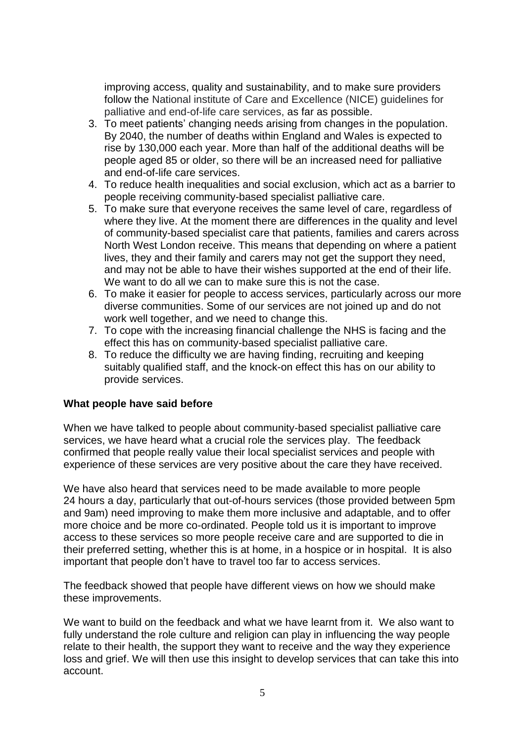improving access, quality and sustainability, and to make sure providers follow the National institute of Care and Excellence (NICE) guidelines for palliative and end-of-life care services, as far as possible.

- 3. To meet patients' changing needs arising from changes in the population. By 2040, the number of deaths within England and Wales is expected to rise by 130,000 each year. More than half of the additional deaths will be people aged 85 or older, so there will be an increased need for palliative and end-of-life care services.
- 4. To reduce health inequalities and social exclusion, which act as a barrier to people receiving community-based specialist palliative care.
- 5. To make sure that everyone receives the same level of care, regardless of where they live. At the moment there are differences in the quality and level of community-based specialist care that patients, families and carers across North West London receive. This means that depending on where a patient lives, they and their family and carers may not get the support they need, and may not be able to have their wishes supported at the end of their life. We want to do all we can to make sure this is not the case.
- 6. To make it easier for people to access services, particularly across our more diverse communities. Some of our services are not joined up and do not work well together, and we need to change this.
- 7. To cope with the increasing financial challenge the NHS is facing and the effect this has on community-based specialist palliative care.
- 8. To reduce the difficulty we are having finding, recruiting and keeping suitably qualified staff, and the knock-on effect this has on our ability to provide services.

### **What people have said before**

When we have talked to people about community-based specialist palliative care services, we have heard what a crucial role the services play. The feedback confirmed that people really value their local specialist services and people with experience of these services are very positive about the care they have received.

We have also heard that services need to be made available to more people 24 hours a day, particularly that out-of-hours services (those provided between 5pm and 9am) need improving to make them more inclusive and adaptable, and to offer more choice and be more co-ordinated. People told us it is important to improve access to these services so more people receive care and are supported to die in their preferred setting, whether this is at home, in a hospice or in hospital. It is also important that people don't have to travel too far to access services.

The feedback showed that people have different views on how we should make these improvements.

We want to build on the feedback and what we have learnt from it. We also want to fully understand the role culture and religion can play in influencing the way people relate to their health, the support they want to receive and the way they experience loss and grief. We will then use this insight to develop services that can take this into account.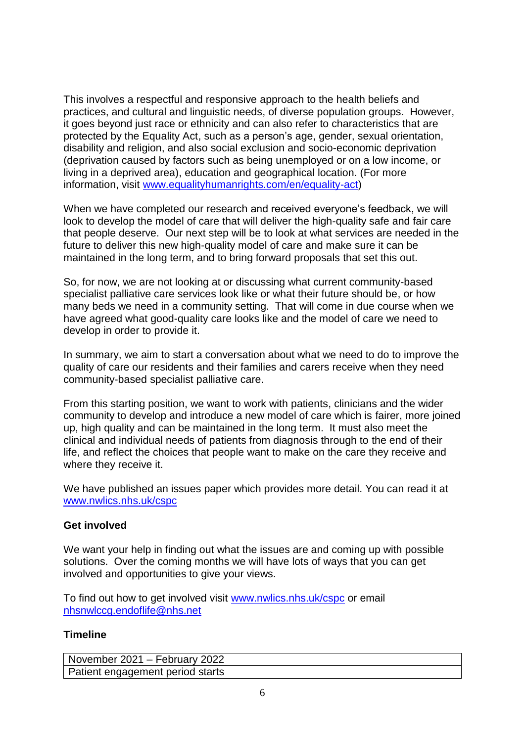This involves a respectful and responsive approach to the health beliefs and practices, and cultural and linguistic needs, of diverse population groups. However, it goes beyond just race or ethnicity and can also refer to characteristics that are protected by the Equality Act, such as a person's age, gender, sexual orientation, disability and religion, and also social exclusion and socio-economic deprivation (deprivation caused by factors such as being unemployed or on a low income, or living in a deprived area), education and geographical location. (For more information, visit [www.equalityhumanrights.com/en/equality-act\)](http://www.equalityhumanrights.com/en/equality-act)

When we have completed our research and received everyone's feedback, we will look to develop the model of care that will deliver the high-quality safe and fair care that people deserve. Our next step will be to look at what services are needed in the future to deliver this new high-quality model of care and make sure it can be maintained in the long term, and to bring forward proposals that set this out.

So, for now, we are not looking at or discussing what current community-based specialist palliative care services look like or what their future should be, or how many beds we need in a community setting. That will come in due course when we have agreed what good-quality care looks like and the model of care we need to develop in order to provide it.

In summary, we aim to start a conversation about what we need to do to improve the quality of care our residents and their families and carers receive when they need community-based specialist palliative care.

From this starting position, we want to work with patients, clinicians and the wider community to develop and introduce a new model of care which is fairer, more joined up, high quality and can be maintained in the long term. It must also meet the clinical and individual needs of patients from diagnosis through to the end of their life, and reflect the choices that people want to make on the care they receive and where they receive it.

We have published an issues paper which provides more detail. You can read it at [www.nwlics.nhs.uk/cspc](http://www.nwlics.nhs.uk/cspc)

## **Get involved**

We want your help in finding out what the issues are and coming up with possible solutions. Over the coming months we will have lots of ways that you can get involved and opportunities to give your views.

To find out how to get involved visit [www.nwlics.nhs.uk/cspc](http://www.nwlics.nhs.uk/cspc) or email [nhsnwlccg.endoflife@nhs.net](mailto:nhsnwlccg.endoflife@nhs.net)

### **Timeline**

November 2021 – February 2022 Patient engagement period starts